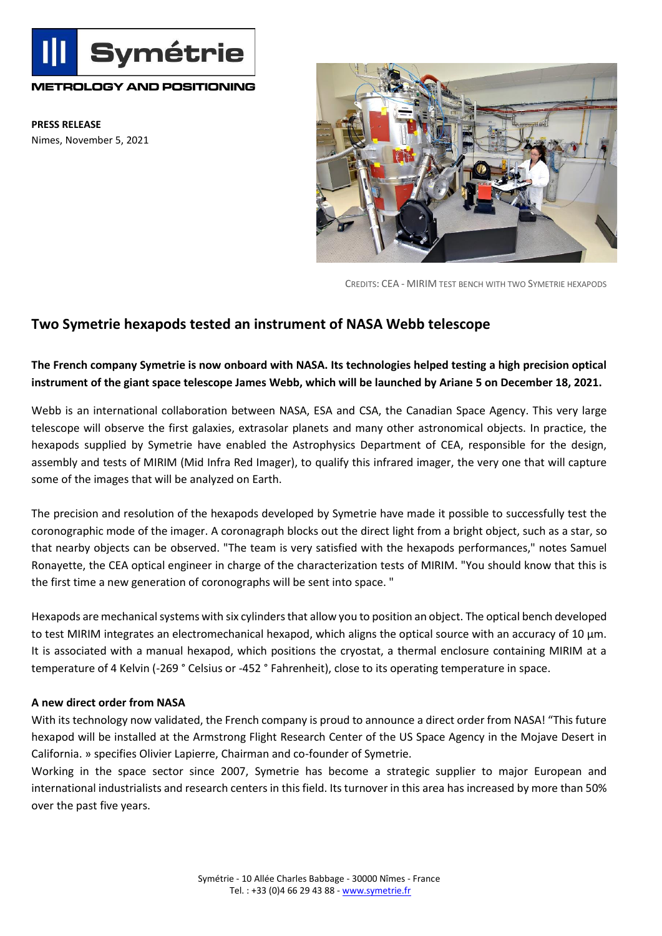

## **METROLOGY AND POSITIONING**

**PRESS RELEASE** Nimes, November 5, 2021



CREDITS: CEA - MIRIM TEST BENCH WITH TWO SYMETRIE HEXAPODS

## **Two Symetrie hexapods tested an instrument of NASA Webb telescope**

## **The French company Symetrie is now onboard with NASA. Its technologies helped testing a high precision optical instrument of the giant space telescope James Webb, which will be launched by Ariane 5 on December 18, 2021.**

Webb is an international collaboration between NASA, ESA and CSA, the Canadian Space Agency. This very large telescope will observe the first galaxies, extrasolar planets and many other astronomical objects. In practice, the hexapods supplied by Symetrie have enabled the Astrophysics Department of CEA, responsible for the design, assembly and tests of MIRIM (Mid Infra Red Imager), to qualify this infrared imager, the very one that will capture some of the images that will be analyzed on Earth.

The precision and resolution of the hexapods developed by Symetrie have made it possible to successfully test the coronographic mode of the imager. A coronagraph blocks out the direct light from a bright object, such as a star, so that nearby objects can be observed. "The team is very satisfied with the hexapods performances," notes Samuel Ronayette, the CEA optical engineer in charge of the characterization tests of MIRIM. "You should know that this is the first time a new generation of coronographs will be sent into space. "

Hexapods are mechanical systems with six cylinders that allow you to position an object. The optical bench developed to test MIRIM integrates an electromechanical hexapod, which aligns the optical source with an accuracy of 10  $\mu$ m. It is associated with a manual hexapod, which positions the cryostat, a thermal enclosure containing MIRIM at a temperature of 4 Kelvin (-269 ° Celsius or -452 ° Fahrenheit), close to its operating temperature in space.

## **A new direct order from NASA**

With its technology now validated, the French company is proud to announce a direct order from NASA! "This future hexapod will be installed at the Armstrong Flight Research Center of the US Space Agency in the Mojave Desert in California. » specifies Olivier Lapierre, Chairman and co-founder of Symetrie.

Working in the space sector since 2007, Symetrie has become a strategic supplier to major European and international industrialists and research centers in this field. Its turnover in this area has increased by more than 50% over the past five years.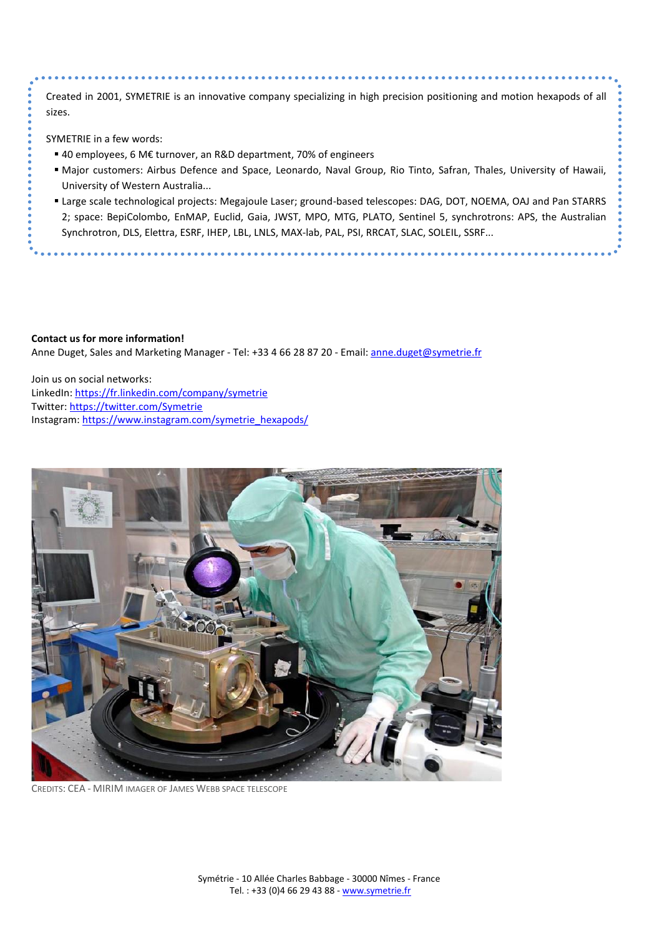Created in 2001, SYMETRIE is an innovative company specializing in high precision positioning and motion hexapods of all sizes.

SYMETRIE in a few words:

- 40 employees, 6 M€ turnover, an R&D department, 70% of engineers
- Major customers: Airbus Defence and Space, Leonardo, Naval Group, Rio Tinto, Safran, Thales, University of Hawaii, University of Western Australia...
- Large scale technological projects: Megajoule Laser; ground-based telescopes: DAG, DOT, NOEMA, OAJ and Pan STARRS 2; space: BepiColombo, EnMAP, Euclid, Gaia, JWST, MPO, MTG, PLATO, Sentinel 5, synchrotrons: APS, the Australian Synchrotron, DLS, Elettra, ESRF, IHEP, LBL, LNLS, MAX-lab, PAL, PSI, RRCAT, SLAC, SOLEIL, SSRF...

**Contact us for more information!**  Anne Duget, Sales and Marketing Manager - Tel: +33 4 66 28 87 20 - Email[: anne.duget@symetrie.fr](mailto:anne.duget@symetrie.fr)

Join us on social networks: LinkedIn[: https://fr.linkedin.com/company/symetrie](https://fr.linkedin.com/company/symetrie) Twitter:<https://twitter.com/Symetrie> Instagram: [https://www.instagram.com/symetrie\\_hexapods/](https://www.instagram.com/symetrie_hexapods/)



CREDITS: CEA - MIRIM IMAGER OF JAMES WEBB SPACE TELESCOPE